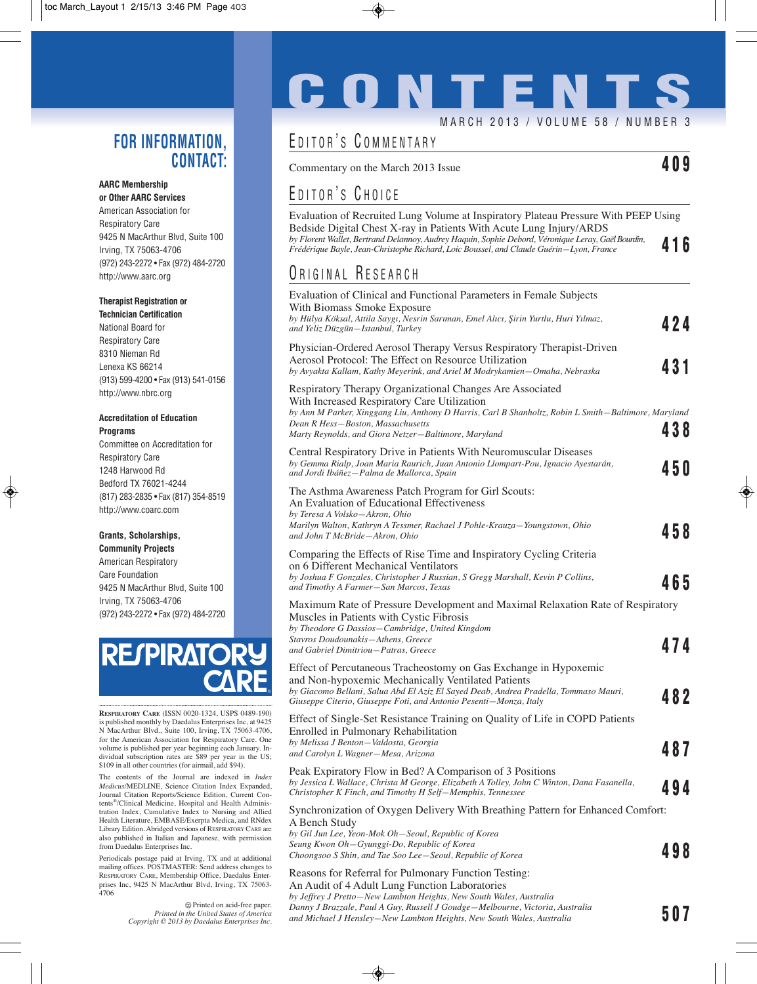#### **FOR INFORMATION, CONTACT:**

#### **AARC Membership or Other AARC Services**

American Association for Respiratory Care 9425 N MacArthur Blvd, Suite 100 Irving, TX 75063-4706 (972) 243-2272 • Fax (972) 484-2720 http://www.aarc.org

#### **Therapist Registration or**

**Technician Certification** National Board for Respiratory Care 8310 Nieman Rd Lenexa KS 66214 (913) 599-4200 • Fax (913) 541-0156 http://www.nbrc.org

#### **Accreditation of Education Programs**

Committee on Accreditation for Respiratory Care 1248 Harwood Rd Bedford TX 76021-4244 (817) 283-2835 • Fax (817) 354-8519 http://www.coarc.com

#### **Grants, Scholarships,**

**Community Projects** American Respiratory Care Foundation 9425 N MacArthur Blvd, Suite 100 Irving, TX 75063-4706 (972) 243-2272 • Fax (972) 484-2720



**RESPIRATORY CARE** (ISSN 0020-1324, USPS 0489-190) is published monthly by Daedalus Enterprises Inc, at 9425 N MacArthur Blvd., Suite 100, Irving, TX 75063-4706, for the American Association for Respiratory Care. One volume is published per year beginning each January. Individual subscription rates are \$89 per year in the US; \$109 in all other countries (for airmail, add \$94).

The contents of the Journal are indexed in *Index Medicus*/MEDLINE, Science Citation Index Expanded, Journal Citation Reports/Science Edition, Current Contents®/Clinical Medicine, Hospital and Health Administration Index, Cumulative Index to Nursing and Allied Health Literature, EMBASE/Exerpta Medica, and RNdex Library Edition. Abridged versions of RESPIRATORY CARE are also published in Italian and Japanese, with permission from Daedalus Enterprises Inc.

Periodicals postage paid at Irving, TX and at additional mailing offices. POSTMASTER: Send address changes to RESPIRATORY CARE, Membership Office, Daedalus Enterprises Inc, 9425 N MacArthur Blvd, Irving, TX 75063- 4706

> Printed on acid-free paper. *Printed in the United States of America Copyright © 2013 by Daedalus Enterprises Inc.*

# **CONTENTS** MARCH 2013 / VOLUME 58 / NUMBER 3

#### EDITOR'S COMMENTARY

Commentary on the March 2013 Issue **409**

#### EDITOR'S CHOICE

Evaluation of Recruited Lung Volume at Inspiratory Plateau Pressure With PEEP Using Bedside Digital Chest X-ray in Patients With Acute Lung Injury/ARDS *by Florent Wallet, Bertrand Delannoy, Audrey Haquin, Sophie Debord, Véronique Leray, Gaël Bourdin, Frédérique Bayle, Jean-Christophe Richard, Loic Boussel, and Claude Guérin—Lyon, France* **416**

#### ORIGINAL RESEARCH

| Evaluation of Clinical and Functional Parameters in Female Subjects<br>With Biomass Smoke Exposure<br>by Hülya Köksal, Attila Saygı, Nesrin Sarıman, Emel Alıcı, Şirin Yurtlu, Huri Yılmaz,                                                                                                                   |      |
|---------------------------------------------------------------------------------------------------------------------------------------------------------------------------------------------------------------------------------------------------------------------------------------------------------------|------|
| and Yeliz Düzgün-Istanbul, Turkey                                                                                                                                                                                                                                                                             | 424  |
| Physician-Ordered Aerosol Therapy Versus Respiratory Therapist-Driven<br>Aerosol Protocol: The Effect on Resource Utilization<br>by Avyakta Kallam, Kathy Meyerink, and Ariel M Modrykamien–Omaha, Nebraska                                                                                                   | 431  |
| Respiratory Therapy Organizational Changes Are Associated<br>With Increased Respiratory Care Utilization<br>by Ann M Parker, Xinggang Liu, Anthony D Harris, Carl B Shanholtz, Robin L Smith–Baltimore, Maryland<br>Dean R Hess—Boston, Massachusetts<br>Marty Reynolds, and Giora Netzer-Baltimore, Maryland | 438  |
| Central Respiratory Drive in Patients With Neuromuscular Diseases<br>by Gemma Rialp, Joan Maria Raurich, Juan Antonio Llompart-Pou, Ignacio Ayestarán,<br>and Jordi Ibáñez–Palma de Mallorca, Spain                                                                                                           | 45 O |
| The Asthma Awareness Patch Program for Girl Scouts:<br>An Evaluation of Educational Effectiveness<br>by Teresa A Volsko-Akron, Ohio                                                                                                                                                                           |      |
| Marilyn Walton, Kathryn A Tessmer, Rachael J Pohle-Krauza-Youngstown, Ohio<br>and John T McBride–Akron, Ohio                                                                                                                                                                                                  | 458  |
| Comparing the Effects of Rise Time and Inspiratory Cycling Criteria<br>on 6 Different Mechanical Ventilators                                                                                                                                                                                                  |      |
| by Joshua F Gonzales, Christopher J Russian, S Gregg Marshall, Kevin P Collins,<br>and Timothy A Farmer-San Marcos, Texas                                                                                                                                                                                     | 465  |
| Maximum Rate of Pressure Development and Maximal Relaxation Rate of Respiratory<br>Muscles in Patients with Cystic Fibrosis<br>by Theodore G Dassios-Cambridge, United Kingdom                                                                                                                                |      |
| Stavros Doudounakis-Athens, Greece<br>and Gabriel Dimitriou–Patras, Greece                                                                                                                                                                                                                                    | 474  |
| Effect of Percutaneous Tracheostomy on Gas Exchange in Hypoxemic<br>and Non-hypoxemic Mechanically Ventilated Patients<br>by Giacomo Bellani, Salua Abd El Aziz El Sayed Deab, Andrea Pradella, Tommaso Mauri,                                                                                                | 482  |
| Giuseppe Citerio, Giuseppe Foti, and Antonio Pesenti-Monza, Italy                                                                                                                                                                                                                                             |      |
| Effect of Single-Set Resistance Training on Quality of Life in COPD Patients<br>Enrolled in Pulmonary Rehabilitation<br>by Melissa J Benton-Valdosta, Georgia<br>and Carolyn L Wagner-Mesa, Arizona                                                                                                           | 487  |
| Peak Expiratory Flow in Bed? A Comparison of 3 Positions                                                                                                                                                                                                                                                      |      |
| by Jessica L Wallace, Christa M George, Elizabeth A Tolley, John C Winton, Dana Fasanella,<br>Christopher K Finch, and Timothy H Self–Memphis, Tennessee                                                                                                                                                      | 494  |
| Synchronization of Oxygen Delivery With Breathing Pattern for Enhanced Comfort:                                                                                                                                                                                                                               |      |
| A Bench Study<br>by Gil Jun Lee, Yeon-Mok Oh–Seoul, Republic of Korea<br>Seung Kwon Oh–Gyunggi-Do, Republic of Korea<br>Choongsoo S Shin, and Tae Soo Lee–Seoul, Republic of Korea                                                                                                                            | 498  |
| Reasons for Referral for Pulmonary Function Testing:                                                                                                                                                                                                                                                          |      |
| An Audit of 4 Adult Lung Function Laboratories<br>by Leften I Dratto Nou Lambton Hojakta Nou South Walse Australia                                                                                                                                                                                            |      |

*by Jeffrey J Pretto—New Lambton Heights, New South Wales, Australia Danny J Brazzale, Paul A Guy, Russell J Goudge—Melbourne, Victoria, Australia and Michael J Hensley—New Lambton Heights, New South Wales, Australia* **507**